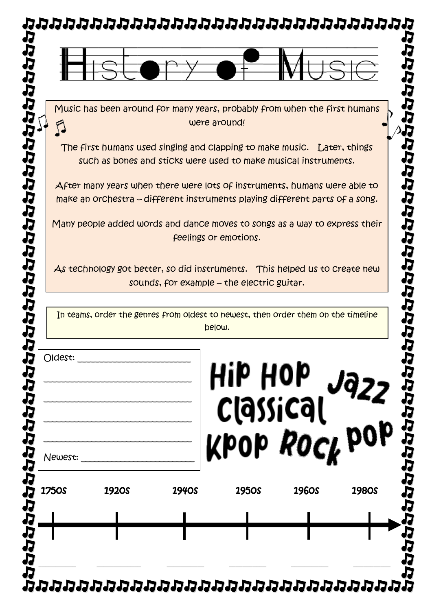

The first humans used singing and clapping to make music. Later, things such as bones and sticks were used to make musical instruments.

JJ J)

ひいりひいけいけんけんけん

After many years when there were lots of instruments, humans were able to make an orchestra – different instruments playing different parts of a song.

Many people added words and dance moves to songs as a way to express their feelings or emotions.

As technology got better, so did instruments. This helped us to create new sounds, for example – the electric guitar.

In teams, order the genres from oldest to newest, then order them on the timeline below.

| Oldest:<br>Newest: |              |              | Hip Hop<br>Classical<br>Kpop <i>Rock</i> pop |              |              |
|--------------------|--------------|--------------|----------------------------------------------|--------------|--------------|
| <b>1750S</b>       | <b>1920S</b> | <b>1940S</b> | <b>1950S</b>                                 | <b>1960S</b> | <b>1980S</b> |
|                    |              |              |                                              |              |              |